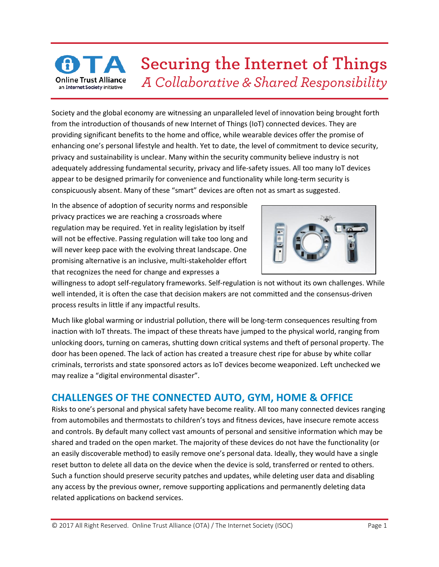## Securing the Internet of Things A Collaborative & Shared Responsibility **Online Trust Alliance** an Internet Society initiative

Society and the global economy are witnessing an unparalleled level of innovation being brought forth from the introduction of thousands of new Internet of Things (IoT) connected devices. They are providing significant benefits to the home and office, while wearable devices offer the promise of enhancing one's personal lifestyle and health. Yet to date, the level of commitment to device security, privacy and sustainability is unclear. Many within the security community believe industry is not adequately addressing fundamental security, privacy and life-safety issues. All too many IoT devices appear to be designed primarily for convenience and functionality while long-term security is conspicuously absent. Many of these "smart" devices are often not as smart as suggested.

In the absence of adoption of security norms and responsible privacy practices we are reaching a crossroads where regulation may be required. Yet in reality legislation by itself will not be effective. Passing regulation will take too long and will never keep pace with the evolving threat landscape. One promising alternative is an inclusive, multi-stakeholder effort that recognizes the need for change and expresses a



willingness to adopt self-regulatory frameworks. Self-regulation is not without its own challenges. While well intended, it is often the case that decision makers are not committed and the consensus-driven process results in little if any impactful results.

Much like global warming or industrial pollution, there will be long-term consequences resulting from inaction with IoT threats. The impact of these threats have jumped to the physical world, ranging from unlocking doors, turning on cameras, shutting down critical systems and theft of personal property. The door has been opened. The lack of action has created a treasure chest ripe for abuse by white collar criminals, terrorists and state sponsored actors as IoT devices become weaponized. Left unchecked we may realize a "digital environmental disaster".

## **CHALLENGES OF THE CONNECTED AUTO, GYM, HOME & OFFICE**

Risks to one's personal and physical safety have become reality. All too many connected devices ranging from automobiles and thermostats to children's toys and fitness devices, have insecure remote access and controls. By default many collect vast amounts of personal and sensitive information which may be shared and traded on the open market. The majority of these devices do not have the functionality (or an easily discoverable method) to easily remove one's personal data. Ideally, they would have a single reset button to delete all data on the device when the device is sold, transferred or rented to others. Such a function should preserve security patches and updates, while deleting user data and disabling any access by the previous owner, remove supporting applications and permanently deleting data related applications on backend services.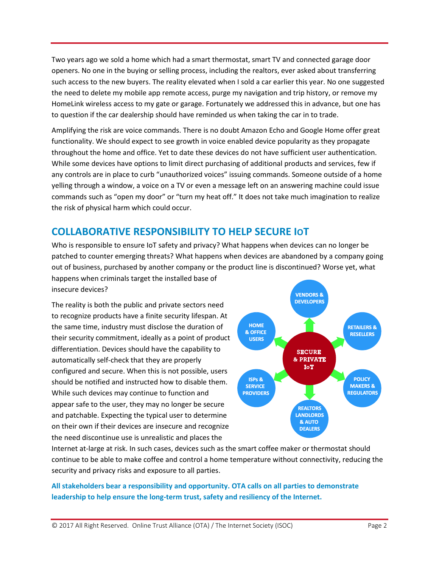Two years ago we sold a home which had a smart thermostat, smart TV and connected garage door openers. No one in the buying or selling process, including the realtors, ever asked about transferring such access to the new buyers. The reality elevated when I sold a car earlier this year. No one suggested the need to delete my mobile app remote access, purge my navigation and trip history, or remove my HomeLink wireless access to my gate or garage. Fortunately we addressed this in advance, but one has to question if the car dealership should have reminded us when taking the car in to trade.

Amplifying the risk are voice commands. There is no doubt Amazon Echo and Google Home offer great functionality. We should expect to see growth in voice enabled device popularity as they propagate throughout the home and office. Yet to date these devices do not have sufficient user authentication. While some devices have options to limit direct purchasing of additional products and services, few if any controls are in place to curb "unauthorized voices" issuing commands. Someone outside of a home yelling through a window, a voice on a TV or even a message left on an answering machine could issue commands such as "open my door" or "turn my heat off." It does not take much imagination to realize the risk of physical harm which could occur.

## **COLLABORATIVE RESPONSIBILITY TO HELP SECURE IOT**

Who is responsible to ensure IoT safety and privacy? What happens when devices can no longer be patched to counter emerging threats? What happens when devices are abandoned by a company going out of business, purchased by another company or the product line is discontinued? Worse yet, what happens when criminals target the installed base of

insecure devices?

The reality is both the public and private sectors need to recognize products have a finite security lifespan. At the same time, industry must disclose the duration of their security commitment, ideally as a point of product differentiation. Devices should have the capability to automatically self-check that they are properly configured and secure. When this is not possible, users should be notified and instructed how to disable them. While such devices may continue to function and appear safe to the user, they may no longer be secure and patchable. Expecting the typical user to determine on their own if their devices are insecure and recognize the need discontinue use is unrealistic and places the



Internet at-large at risk. In such cases, devices such as the smart coffee maker or thermostat should continue to be able to make coffee and control a home temperature without connectivity, reducing the security and privacy risks and exposure to all parties.

**All stakeholders bear a responsibility and opportunity. OTA calls on all parties to demonstrate leadership to help ensure the long-term trust, safety and resiliency of the Internet.**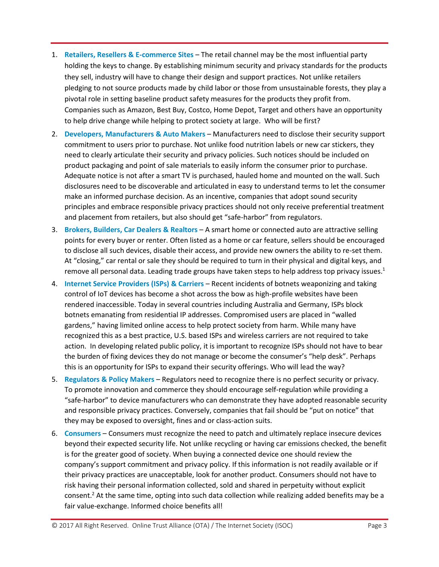- 1. **Retailers, Resellers & E-commerce Sites** The retail channel may be the most influential party holding the keys to change. By establishing minimum security and privacy standards for the products they sell, industry will have to change their design and support practices. Not unlike retailers pledging to not source products made by child labor or those from unsustainable forests, they play a pivotal role in setting baseline product safety measures for the products they profit from. Companies such as Amazon, Best Buy, Costco, Home Depot, Target and others have an opportunity to help drive change while helping to protect society at large. Who will be first?
- 2. **Developers, Manufacturers & Auto Makers** Manufacturers need to disclose their security support commitment to users prior to purchase. Not unlike food nutrition labels or new car stickers, they need to clearly articulate their security and privacy policies. Such notices should be included on product packaging and point of sale materials to easily inform the consumer prior to purchase. Adequate notice is not after a smart TV is purchased, hauled home and mounted on the wall. Such disclosures need to be discoverable and articulated in easy to understand terms to let the consumer make an informed purchase decision. As an incentive, companies that adopt sound security principles and embrace responsible privacy practices should not only receive preferential treatment and placement from retailers, but also should get "safe-harbor" from regulators.
- 3. **Brokers, Builders, Car Dealers & Realtors** A smart home or connected auto are attractive selling points for every buyer or renter. Often listed as a home or car feature, sellers should be encouraged to disclose all such devices, disable their access, and provide new owners the ability to re-set them. At "closing," car rental or sale they should be required to turn in their physical and digital keys, and remove all personal data. Leading trade groups have taken steps to help address top privacy issues.<sup>1</sup>
- 4. **Internet Service Providers (ISPs) & Carriers** Recent incidents of botnets weaponizing and taking control of IoT devices has become a shot across the bow as high-profile websites have been rendered inaccessible. Today in several countries including Australia and Germany, ISPs block botnets emanating from residential IP addresses. Compromised users are placed in "walled gardens," having limited online access to help protect society from harm. While many have recognized this as a best practice, U.S. based ISPs and wireless carriers are not required to take action. In developing related public policy, it is important to recognize ISPs should not have to bear the burden of fixing devices they do not manage or become the consumer's "help desk". Perhaps this is an opportunity for ISPs to expand their security offerings. Who will lead the way?
- 5. **Regulators & Policy Makers** Regulators need to recognize there is no perfect security or privacy. To promote innovation and commerce they should encourage self-regulation while providing a "safe-harbor" to device manufacturers who can demonstrate they have adopted reasonable security and responsible privacy practices. Conversely, companies that fail should be "put on notice" that they may be exposed to oversight, fines and or class-action suits.
- 6. **Consumers** Consumers must recognize the need to patch and ultimately replace insecure devices beyond their expected security life. Not unlike recycling or having car emissions checked, the benefit is for the greater good of society. When buying a connected device one should review the company's support commitment and privacy policy. If this information is not readily available or if their privacy practices are unacceptable, look for another product. Consumers should not have to risk having their personal information collected, sold and shared in perpetuity without explicit consent.<sup>2</sup> At the same time, opting into such data collection while realizing added benefits may be a fair value-exchange. Informed choice benefits all!